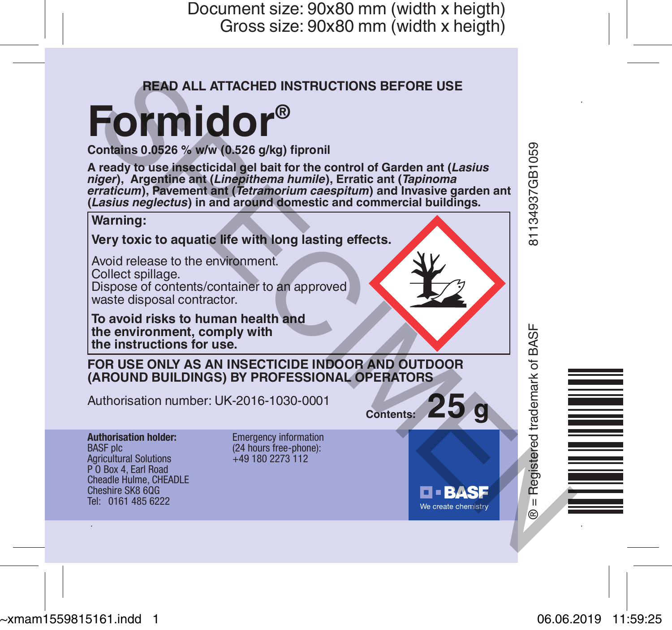Document size: 90x80 mm (width x heigth) Gross size: 90x80 mm (width x heigth)

### **READ ALL ATTACHED INSTRUCTIONS BEFORE USE**

# **Formidor®**

**Contains 0.0526 % w/w (0.526 g/kg) fipronil** niger), Argentine ant (Linepithema humile), Erratic ant (Tapinoma<br>erraticum), Pavement ant (Tetramorium caespitum) and Invasive garden ant **(***Lasius neglectus***) in and around domestic and commercial buildings.**



~xmam1559815161.indd 1 06.06.2019 11:59:25